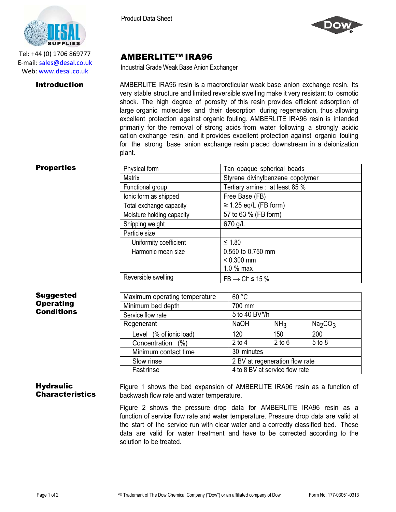

Tel: +44 (0) 1706 869777 E‐mail: sales@desal.co.uk Web: www.desal.co.uk

Product Data Sheet



# AMBERLITE™ IRA96

Industrial Grade Weak Base Anion Exchanger

**Introduction** AMBERLITE IRA96 resin is a macroreticular weak base anion exchange resin. Its very stable structure and limited reversible swelling make it very resistant to osmotic shock. The high degree of porosity of this resin provides efficient adsorption of large organic molecules and their desorption during regeneration, thus allowing excellent protection against organic fouling. AMBERLITE IRA96 resin is intended primarily for the removal of strong acids from water following a strongly acidic cation exchange resin, and it provides excellent protection against organic fouling for the strong base anion exchange resin placed downstream in a deionization plant.

### **Properties**

| Physical form             | Tan opaque spherical beads        |
|---------------------------|-----------------------------------|
| <b>Matrix</b>             | Styrene divinylbenzene copolymer  |
| Functional group          | Tertiary amine : at least 85 %    |
| lonic form as shipped     | Free Base (FB)                    |
| Total exchange capacity   | $\geq$ 1.25 eq/L (FB form)        |
| Moisture holding capacity | 57 to 63 % (FB form)              |
| Shipping weight           | 670 g/L                           |
| Particle size             |                                   |
| Uniformity coefficient    | $≤ 1.80$                          |
| Harmonic mean size        | 0.550 to 0.750 mm                 |
|                           | $< 0.300$ mm                      |
|                           | 1.0 % max                         |
| Reversible swelling       | $FB \rightarrow CI^{-} \leq 15\%$ |

# Suggested **Operating Conditions**

| Maximum operating temperature | 60 °C                          |                 |                                 |
|-------------------------------|--------------------------------|-----------------|---------------------------------|
| Minimum bed depth             | 700 mm                         |                 |                                 |
| Service flow rate             | 5 to 40 BV*/h                  |                 |                                 |
| Regenerant                    | <b>NaOH</b>                    | NH <sub>3</sub> | Na <sub>2</sub> CO <sub>3</sub> |
| Level (% of ionic load)       | 120                            | 150             | 200                             |
| Concentration (%)             | $2$ to $4$                     | $2$ to $6$      | 5 to 8                          |
| Minimum contact time          | 30 minutes                     |                 |                                 |
| Slow rinse                    | 2 BV at regeneration flow rate |                 |                                 |
| Fastrinse                     | 4 to 8 BV at service flow rate |                 |                                 |

# **Hydraulic Characteristics**

Figure 1 shows the bed expansion of AMBERLITE IRA96 resin as a function of backwash flow rate and water temperature.

Figure 2 shows the pressure drop data for AMBERLITE IRA96 resin as a function of service flow rate and water temperature. Pressure drop data are valid at the start of the service run with clear water and a correctly classified bed. These data are valid for water treatment and have to be corrected according to the solution to be treated.